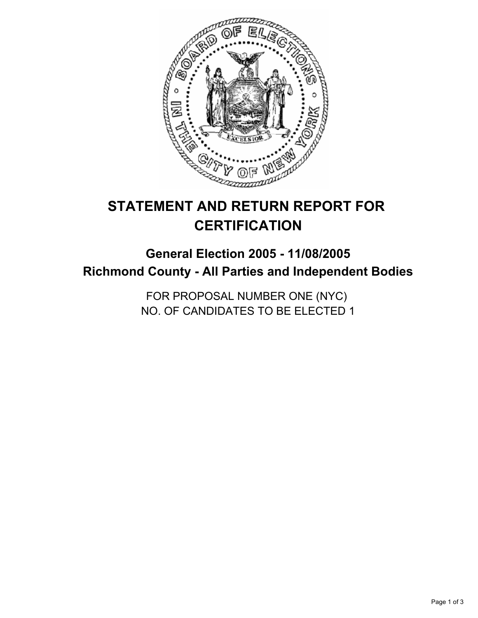

# **STATEMENT AND RETURN REPORT FOR CERTIFICATION**

## **General Election 2005 - 11/08/2005 Richmond County - All Parties and Independent Bodies**

FOR PROPOSAL NUMBER ONE (NYC) NO. OF CANDIDATES TO BE ELECTED 1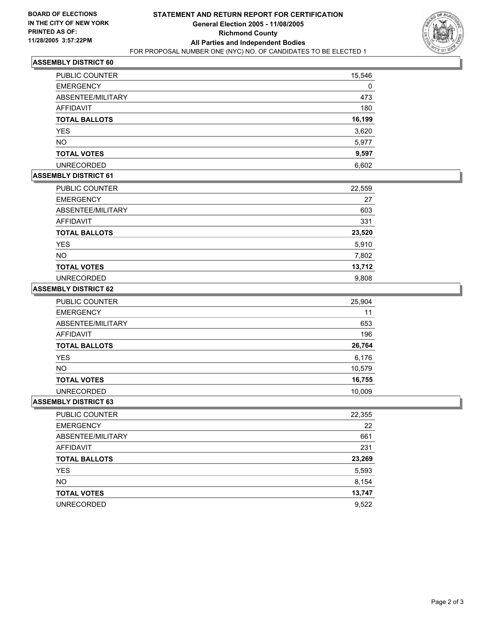

#### **ASSEMBLY DISTRICT 60**

| PUBLIC COUNTER       | 15,546 |
|----------------------|--------|
| <b>EMERGENCY</b>     | 0      |
| ABSENTEE/MILITARY    | 473    |
| AFFIDAVIT            | 180    |
| <b>TOTAL BALLOTS</b> | 16,199 |
| <b>YES</b>           | 3,620  |
| <b>NO</b>            | 5,977  |
| <b>TOTAL VOTES</b>   | 9,597  |
| <b>UNRECORDED</b>    | 6,602  |

#### **ASSEMBLY DISTRICT 61**

| PUBLIC COUNTER       | 22,559 |
|----------------------|--------|
| <b>EMERGENCY</b>     | 27     |
| ABSENTEE/MILITARY    | 603    |
| AFFIDAVIT            | 331    |
| <b>TOTAL BALLOTS</b> | 23,520 |
| <b>YES</b>           | 5,910  |
| <b>NO</b>            | 7,802  |
| <b>TOTAL VOTES</b>   | 13,712 |
| <b>UNRECORDED</b>    | 9,808  |

#### **ASSEMBLY DISTRICT 62**

| PUBLIC COUNTER       | 25,904 |
|----------------------|--------|
| <b>EMERGENCY</b>     | 11     |
| ABSENTEE/MILITARY    | 653    |
| AFFIDAVIT            | 196    |
| <b>TOTAL BALLOTS</b> | 26,764 |
| <b>YES</b>           | 6,176  |
| <b>NO</b>            | 10,579 |
| <b>TOTAL VOTES</b>   | 16,755 |
| <b>UNRECORDED</b>    | 10,009 |

#### **ASSEMBLY DISTRICT 63**

| PUBLIC COUNTER       | 22,355 |
|----------------------|--------|
| <b>EMERGENCY</b>     | 22     |
| ABSENTEE/MILITARY    | 661    |
| AFFIDAVIT            | 231    |
| <b>TOTAL BALLOTS</b> | 23,269 |
| <b>YES</b>           | 5,593  |
| <b>NO</b>            | 8,154  |
| <b>TOTAL VOTES</b>   | 13,747 |
| <b>UNRECORDED</b>    | 9,522  |